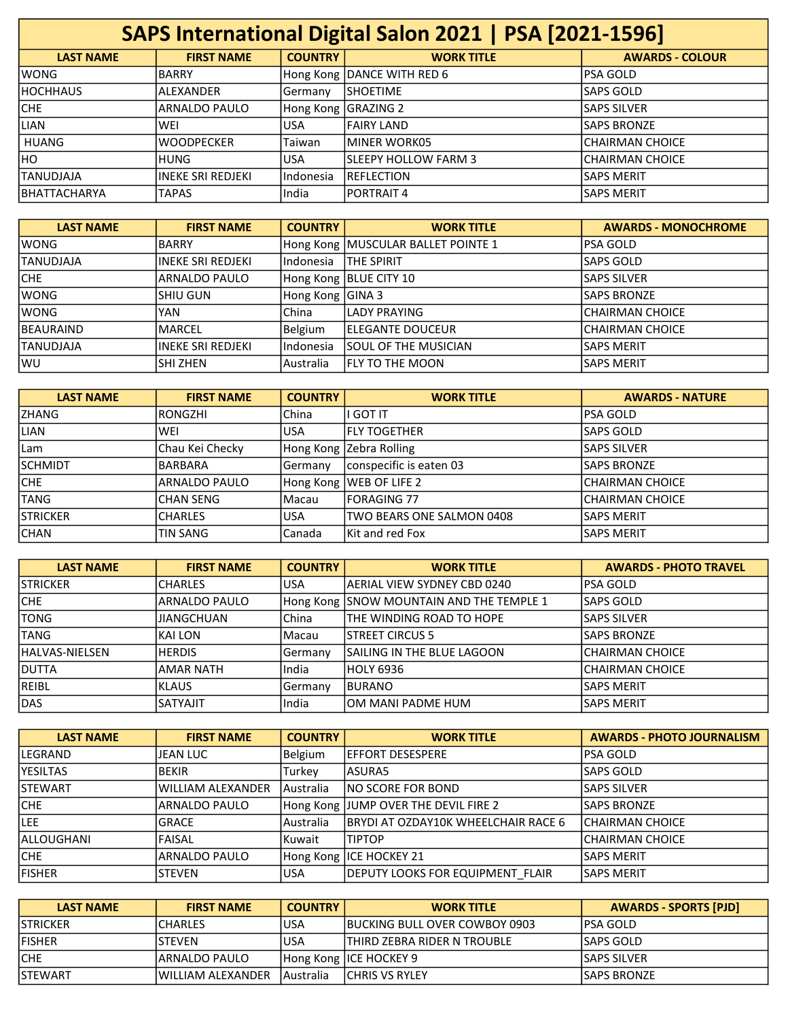| SAPS International Digital Salon 2021   PSA [2021-1596] |                    |                |                            |                        |
|---------------------------------------------------------|--------------------|----------------|----------------------------|------------------------|
| <b>LAST NAME</b>                                        | <b>FIRST NAME</b>  | <b>COUNTRY</b> | <b>WORK TITLE</b>          | <b>AWARDS - COLOUR</b> |
| lwong                                                   | BARRY              |                | Hong Kong DANCE WITH RED 6 | lpsa Gold              |
| IHOCHHAUS                                               | ALEXANDER          | Germany        | ISHOETIME                  | <b>SAPS GOLD</b>       |
| CHE                                                     | ARNALDO PAULO      | Hong Kong      | GRAZING 2                  | <b>SAPS SILVER</b>     |
| <b>LIAN</b>                                             | WEI                | lusa           | lFAIRY LAND                | <b>SAPS BRONZE</b>     |
| <b>HUANG</b>                                            | <b>WOODPECKER</b>  | Taiwan         | IMINER WORK05              | ICHAIRMAN CHOICE       |
| IHO.                                                    | <b>HUNG</b>        | lusa.          | ISLEEPY HOLLOW FARM 3      | ICHAIRMAN CHOICE       |
| ITANUDJAJA                                              | lineke sri redjeki | lIndonesia     | IREFLECTION                | <b>SAPS MERIT</b>      |
| IBHATTACHARYA                                           | <b>TAPAS</b>       | lIndia         | IPORTRAIT 4                | <b>SAPS MERIT</b>      |

| <b>LAST NAME</b>  | <b>FIRST NAME</b>  | <b>COUNTRY</b>   | <b>WORK TITLE</b>                  | <b>AWARDS - MONOCHROME</b> |
|-------------------|--------------------|------------------|------------------------------------|----------------------------|
| <b>WONG</b>       | <b>BARRY</b>       |                  | Hong Kong MUSCULAR BALLET POINTE 1 | lPSA GOLD                  |
| <b>ITANUDJAJA</b> | lineke sri redjeki | Indonesia        | <b>ITHE SPIRIT</b>                 | <b>SAPS GOLD</b>           |
| CHE               | ARNALDO PAULO      |                  | Hong Kong   BLUE CITY 10           | lSAPS SILVER               |
| <b>WONG</b>       | ISHIU GUN          | Hong Kong GINA 3 |                                    | lSAPS BRONZE               |
| <b>WONG</b>       | <b>YAN</b>         | China            | <b>ILADY PRAYING</b>               | ICHAIRMAN CHOICE           |
| BEAURAIND         | <b>MARCEL</b>      | <b>Belgium</b>   | IELEGANTE DOUCEUR                  | ICHAIRMAN CHOICE           |
| <b>TANUDJAJA</b>  | lineke sri redjeki | Indonesia        | ISOUL OF THE MUSICIAN              | <b>SAPS MERIT</b>          |
| lwu               | ISHI ZHEN          | l Australia      | IFLY TO THE MOON                   | lSAPS MERIT                |

| <b>LAST NAME</b> | <b>FIRST NAME</b> | <b>COUNTRY</b> | <b>WORK TITLE</b>          | <b>AWARDS - NATURE</b> |
|------------------|-------------------|----------------|----------------------------|------------------------|
| <b>ZHANG</b>     | IRONGZHI          | lChina         | li GOT IT                  | lPSA GOLD              |
| <b>LIAN</b>      | lwei              | <b>USA</b>     | lfly together              | lSAPS GOLD             |
| l Lam            | Chau Kei Checky   |                | Hong Kong Zebra Rolling    | <b>SAPS SILVER</b>     |
| <b>SCHMIDT</b>   | BARBARA           | lGermanv       | conspecific is eaten 03    | <b>SAPS BRONZE</b>     |
| <b>CHE</b>       | ARNALDO PAULO     |                | Hong Kong WEB OF LIFE 2    | ICHAIRMAN CHOICE       |
| <b>TANG</b>      | <b>CHAN SENG</b>  | Macau          | lfORAGING 77               | ICHAIRMAN CHOICE       |
| <b>STRICKER</b>  | <b>CHARLES</b>    | <b>USA</b>     | ITWO BEARS ONE SALMON 0408 | <b>SAPS MERIT</b>      |
| <b>CHAN</b>      | <b>TIN SANG</b>   | Canada         | lKit and red Fox           | <b>SAPS MERIT</b>      |

| <b>LAST NAME</b> | <b>FIRST NAME</b> | <b>COUNTRY</b> | <b>WORK TITLE</b>                        | <b>AWARDS - PHOTO TRAVEL</b> |
|------------------|-------------------|----------------|------------------------------------------|------------------------------|
| ISTRICKER        | <b>CHARLES</b>    | <b>USA</b>     | lAERIAL VIEW SYDNEY CBD 0240             | lpsa GOLD                    |
| ICHE.            | ARNALDO PAULO     |                | Hong Kong SNOW MOUNTAIN AND THE TEMPLE 1 | lSAPS GOLD                   |
| <b>TONG</b>      | <b>JIANGCHUAN</b> | lChina         | ITHE WINDING ROAD TO HOPE                | <b>SAPS SILVER</b>           |
| <b>TANG</b>      | IKAI LON          | lMacau         | ISTREET CIRCUS 5                         | <b>SAPS BRONZE</b>           |
| lHALVAS-NIELSEN  | <b>HERDIS</b>     | Germany        | ISAILING IN THE BLUE LAGOON              | ICHAIRMAN CHOICE             |
| IDUTTA           | <b>AMAR NATH</b>  | India          | HOLY 6936                                | ICHAIRMAN CHOICE             |
| <b>REIBL</b>     | IKLAUS            | <b>Germany</b> | <b>BURANO</b>                            | lSAPS MERIT                  |
| DAS              | <b>SATYAJIT</b>   | lIndia         | IOM MANI PADME HUM                       | <b>SAPS MERIT</b>            |

| <b>LAST NAME</b> | <b>FIRST NAME</b>        | <b>COUNTRY</b> | <b>WORK TITLE</b>                       | <b>AWARDS - PHOTO JOURNALISM</b> |
|------------------|--------------------------|----------------|-----------------------------------------|----------------------------------|
| lLEGRAND         | JEAN LUC                 | <b>Belgium</b> | lEFFORT DESESPERE                       | lPSA GOLD                        |
| <b>YESILTAS</b>  | <b>BEKIR</b>             | Turkey         | lasuras                                 | lSAPS GOLD                       |
| <b>STEWART</b>   | <b>WILLIAM ALEXANDER</b> | lAustralia     | <b>NO SCORE FOR BOND</b>                | lSAPS SILVER                     |
| <b>CHE</b>       | ARNALDO PAULO            |                | Hong Kong JUMP OVER THE DEVIL FIRE 2    | <b>SAPS BRONZE</b>               |
| ILEE             | IGRACE                   | Australia      | BRYDI AT OZDAY10K WHEELCHAIR RACE 6     | ICHAIRMAN CHOICE                 |
| lALLOUGHANI      | <b>FAISAL</b>            | Kuwait         | <b>ITIPTOP</b>                          | ICHAIRMAN CHOICE                 |
| lche             | ARNALDO PAULO            |                | Hong Kong ICE HOCKEY 21                 | <b>SAPS MERIT</b>                |
| lfisher          | <b>STEVEN</b>            | lusa           | <b>DEPUTY LOOKS FOR EQUIPMENT FLAIR</b> | lSAPS MERIT                      |

| <b>LAST NAME</b> | <b>FIRST NAME</b>  | <b>COUNTRY</b>    | <b>WORK TITLE</b>                     | <b>AWARDS - SPORTS [PJD]</b> |
|------------------|--------------------|-------------------|---------------------------------------|------------------------------|
| <b>STRICKER</b>  | ICHARLES           | USA               | <b>IBUCKING BULL OVER COWBOY 0903</b> | IPSA GOLD                    |
| <b>FISHER</b>    | ISTFVFN            | USA               | ITHIRD ZEBRA RIDER N TROUBLE          | ISAPS GOLD                   |
| <b>CHE</b>       | IARNALDO PAULO     |                   | Hong Kong IICE HOCKEY 9               | ISAPS SILVER                 |
| <b>STEWART</b>   | lWILLIAM ALEXANDER | <b>LAustralia</b> | <b>ICHRIS VS RYLEY</b>                | <b>ISAPS BRONZE</b>          |